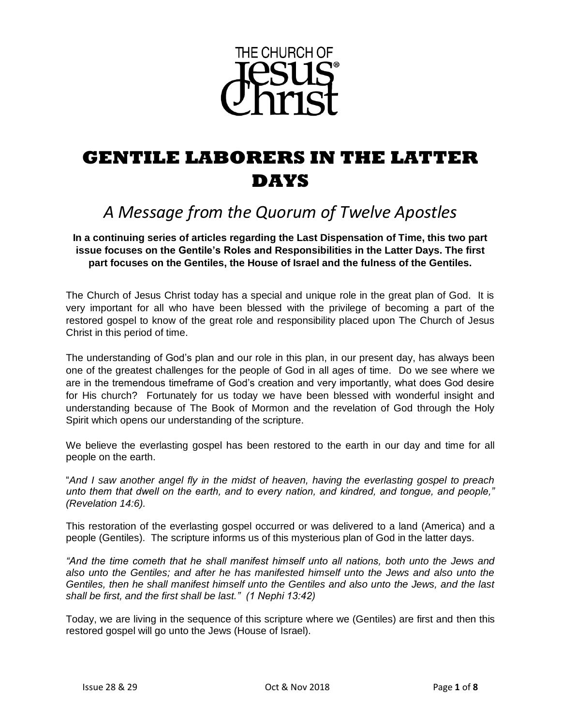

# **GENTILE LABORERS IN THE LATTER DAYS**

## *A Message from the Quorum of Twelve Apostles*

**In a continuing series of articles regarding the Last Dispensation of Time, this two part issue focuses on the Gentile's Roles and Responsibilities in the Latter Days. The first part focuses on the Gentiles, the House of Israel and the fulness of the Gentiles.**

The Church of Jesus Christ today has a special and unique role in the great plan of God. It is very important for all who have been blessed with the privilege of becoming a part of the restored gospel to know of the great role and responsibility placed upon The Church of Jesus Christ in this period of time.

The understanding of God's plan and our role in this plan, in our present day, has always been one of the greatest challenges for the people of God in all ages of time. Do we see where we are in the tremendous timeframe of God's creation and very importantly, what does God desire for His church? Fortunately for us today we have been blessed with wonderful insight and understanding because of The Book of Mormon and the revelation of God through the Holy Spirit which opens our understanding of the scripture.

We believe the everlasting gospel has been restored to the earth in our day and time for all people on the earth.

"*And I saw another angel fly in the midst of heaven, having the everlasting gospel to preach unto them that dwell on the earth, and to every nation, and kindred, and tongue, and people," (Revelation 14:6).* 

This restoration of the everlasting gospel occurred or was delivered to a land (America) and a people (Gentiles). The scripture informs us of this mysterious plan of God in the latter days.

*"And the time cometh that he shall manifest himself unto all nations, both unto the Jews and also unto the Gentiles; and after he has manifested himself unto the Jews and also unto the Gentiles, then he shall manifest himself unto the Gentiles and also unto the Jews, and the last shall be first, and the first shall be last." (1 Nephi 13:42)* 

Today, we are living in the sequence of this scripture where we (Gentiles) are first and then this restored gospel will go unto the Jews (House of Israel).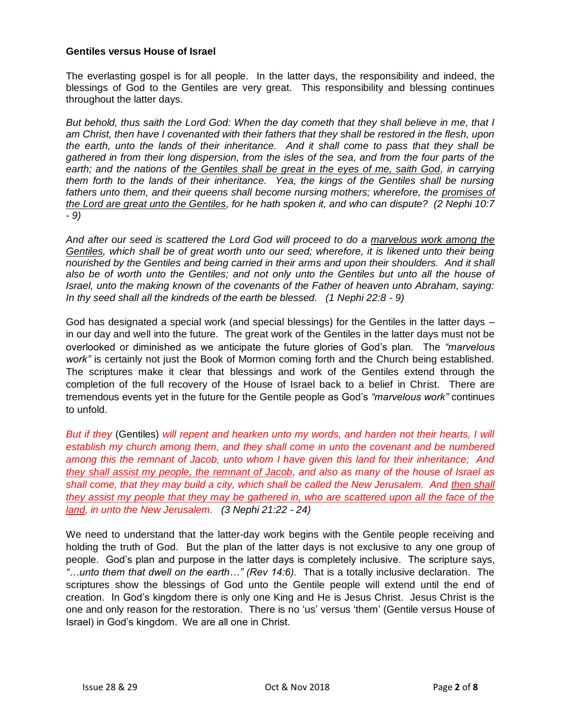#### **Gentiles versus House of Israel**

The everlasting gospel is for all people. In the latter days, the responsibility and indeed, the blessings of God to the Gentiles are very great. This responsibility and blessing continues throughout the latter days.

*But behold, thus saith the Lord God: When the day cometh that they shall believe in me, that I am Christ, then have I covenanted with their fathers that they shall be restored in the flesh, upon the earth, unto the lands of their inheritance. And it shall come to pass that they shall be gathered in from their long dispersion, from the isles of the sea, and from the four parts of the*  earth; and the nations of the Gentiles shall be great in the eyes of me, saith God, in carrying *them forth to the lands of their inheritance. Yea, the kings of the Gentiles shall be nursing fathers unto them, and their queens shall become nursing mothers; wherefore, the promises of the Lord are great unto the Gentiles, for he hath spoken it, and who can dispute? (2 Nephi 10:7 - 9)*

*And after our seed is scattered the Lord God will proceed to do a marvelous work among the Gentiles, which shall be of great worth unto our seed; wherefore, it is likened unto their being nourished by the Gentiles and being carried in their arms and upon their shoulders. And it shall also be of worth unto the Gentiles; and not only unto the Gentiles but unto all the house of Israel, unto the making known of the covenants of the Father of heaven unto Abraham, saying: In thy seed shall all the kindreds of the earth be blessed. (1 Nephi 22:8 - 9)*

God has designated a special work (and special blessings) for the Gentiles in the latter days – in our day and well into the future. The great work of the Gentiles in the latter days must not be overlooked or diminished as we anticipate the future glories of God's plan. The *"marvelous work"* is certainly not just the Book of Mormon coming forth and the Church being established. The scriptures make it clear that blessings and work of the Gentiles extend through the completion of the full recovery of the House of Israel back to a belief in Christ. There are tremendous events yet in the future for the Gentile people as God's *"marvelous work"* continues to unfold.

*But if they* (Gentiles) *will repent and hearken unto my words, and harden not their hearts, I will establish my church among them, and they shall come in unto the covenant and be numbered among this the remnant of Jacob, unto whom I have given this land for their inheritance; And they shall assist my people, the remnant of Jacob, and also as many of the house of Israel as shall come, that they may build a city, which shall be called the New Jerusalem. And then shall they assist my people that they may be gathered in, who are scattered upon all the face of the land, in unto the New Jerusalem. (3 Nephi 21:22 - 24)*

We need to understand that the latter-day work begins with the Gentile people receiving and holding the truth of God. But the plan of the latter days is not exclusive to any one group of people. God's plan and purpose in the latter days is completely inclusive. The scripture says, *"…unto them that dwell on the earth…" (Rev 14:6).* That is a totally inclusive declaration. The scriptures show the blessings of God unto the Gentile people will extend until the end of creation. In God's kingdom there is only one King and He is Jesus Christ. Jesus Christ is the one and only reason for the restoration. There is no 'us' versus 'them' (Gentile versus House of Israel) in God's kingdom. We are all one in Christ.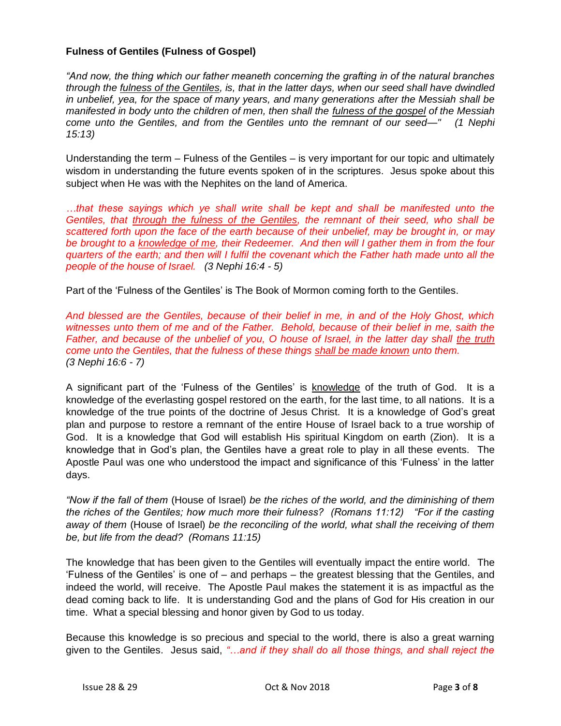#### **Fulness of Gentiles (Fulness of Gospel)**

*"And now, the thing which our father meaneth concerning the grafting in of the natural branches through the fulness of the Gentiles, is, that in the latter days, when our seed shall have dwindled in unbelief, yea, for the space of many years, and many generations after the Messiah shall be manifested in body unto the children of men, then shall the fulness of the gospel of the Messiah come unto the Gentiles, and from the Gentiles unto the remnant of our seed—" (1 Nephi 15:13)*

Understanding the term – Fulness of the Gentiles – is very important for our topic and ultimately wisdom in understanding the future events spoken of in the scriptures. Jesus spoke about this subject when He was with the Nephites on the land of America.

*…that these sayings which ye shall write shall be kept and shall be manifested unto the Gentiles, that through the fulness of the Gentiles, the remnant of their seed, who shall be scattered forth upon the face of the earth because of their unbelief, may be brought in, or may be brought to a knowledge of me, their Redeemer. And then will I gather them in from the four quarters of the earth; and then will I fulfil the covenant which the Father hath made unto all the people of the house of Israel. (3 Nephi 16:4 - 5)*

Part of the 'Fulness of the Gentiles' is The Book of Mormon coming forth to the Gentiles.

*And blessed are the Gentiles, because of their belief in me, in and of the Holy Ghost, which witnesses unto them of me and of the Father. Behold, because of their belief in me, saith the Father, and because of the unbelief of you, O house of Israel, in the latter day shall the truth come unto the Gentiles, that the fulness of these things shall be made known unto them. (3 Nephi 16:6 - 7)*

A significant part of the 'Fulness of the Gentiles' is knowledge of the truth of God. It is a knowledge of the everlasting gospel restored on the earth, for the last time, to all nations. It is a knowledge of the true points of the doctrine of Jesus Christ. It is a knowledge of God's great plan and purpose to restore a remnant of the entire House of Israel back to a true worship of God. It is a knowledge that God will establish His spiritual Kingdom on earth (Zion). It is a knowledge that in God's plan, the Gentiles have a great role to play in all these events. The Apostle Paul was one who understood the impact and significance of this 'Fulness' in the latter days.

*"Now if the fall of them* (House of Israel) *be the riches of the world, and the diminishing of them the riches of the Gentiles; how much more their fulness? (Romans 11:12) "For if the casting away of them* (House of Israel) *be the reconciling of the world, what shall the receiving of them be, but life from the dead? (Romans 11:15)*

The knowledge that has been given to the Gentiles will eventually impact the entire world. The 'Fulness of the Gentiles' is one of – and perhaps – the greatest blessing that the Gentiles, and indeed the world, will receive. The Apostle Paul makes the statement it is as impactful as the dead coming back to life. It is understanding God and the plans of God for His creation in our time. What a special blessing and honor given by God to us today.

Because this knowledge is so precious and special to the world, there is also a great warning given to the Gentiles. Jesus said, *"…and if they shall do all those things, and shall reject the*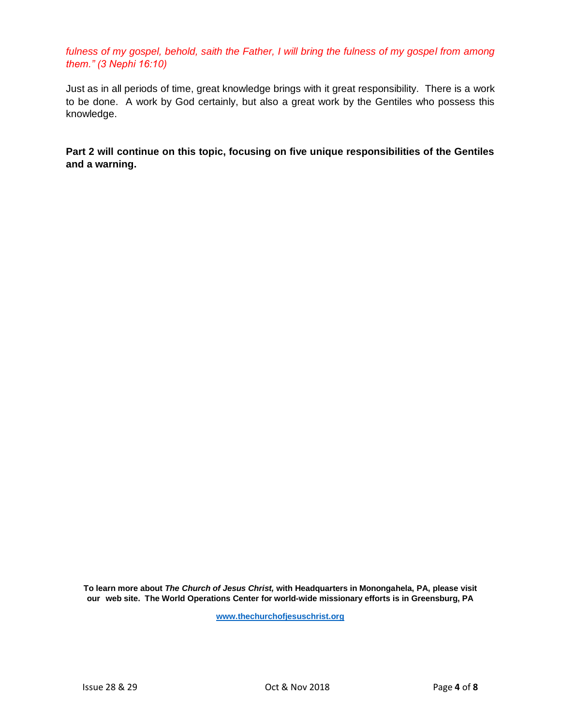fulness of my gospel, behold, saith the Father, I will bring the fulness of my gospel from among *them." (3 Nephi 16:10)*

Just as in all periods of time, great knowledge brings with it great responsibility. There is a work to be done. A work by God certainly, but also a great work by the Gentiles who possess this knowledge.

**Part 2 will continue on this topic, focusing on five unique responsibilities of the Gentiles and a warning.**

**To learn more about** *The Church of Jesus Christ,* **with Headquarters in Monongahela, PA, please visit our web site. The World Operations Center for world-wide missionary efforts is in Greensburg, PA**

**[www.thechurchofjesuschrist.org](http://www.thechurchofjesuschrist.org/)**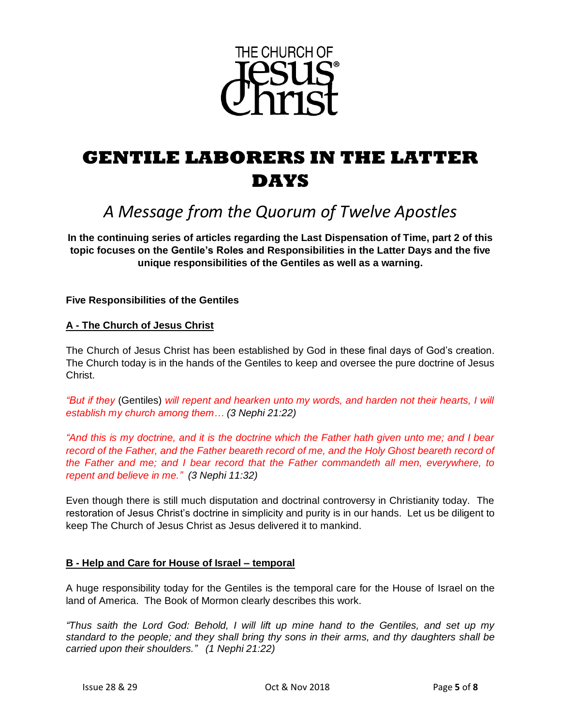

# **GENTILE LABORERS IN THE LATTER DAYS**

## *A Message from the Quorum of Twelve Apostles*

**In the continuing series of articles regarding the Last Dispensation of Time, part 2 of this topic focuses on the Gentile's Roles and Responsibilities in the Latter Days and the five unique responsibilities of the Gentiles as well as a warning.**

#### **Five Responsibilities of the Gentiles**

#### **A - The Church of Jesus Christ**

The Church of Jesus Christ has been established by God in these final days of God's creation. The Church today is in the hands of the Gentiles to keep and oversee the pure doctrine of Jesus Christ.

*"But if they* (Gentiles) *will repent and hearken unto my words, and harden not their hearts, I will establish my church among them… (3 Nephi 21:22)*

*"And this is my doctrine, and it is the doctrine which the Father hath given unto me; and I bear*  record of the Father, and the Father beareth record of me, and the Holy Ghost beareth record of *the Father and me; and I bear record that the Father commandeth all men, everywhere, to repent and believe in me." (3 Nephi 11:32)*

Even though there is still much disputation and doctrinal controversy in Christianity today. The restoration of Jesus Christ's doctrine in simplicity and purity is in our hands. Let us be diligent to keep The Church of Jesus Christ as Jesus delivered it to mankind.

### **B - Help and Care for House of Israel – temporal**

A huge responsibility today for the Gentiles is the temporal care for the House of Israel on the land of America. The Book of Mormon clearly describes this work.

*"Thus saith the Lord God: Behold, I will lift up mine hand to the Gentiles, and set up my standard to the people; and they shall bring thy sons in their arms, and thy daughters shall be carried upon their shoulders." (1 Nephi 21:22)*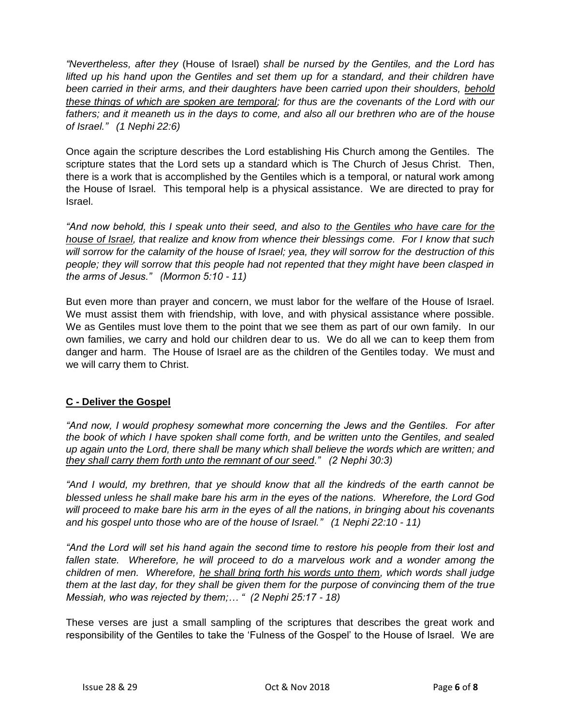*"Nevertheless, after they* (House of Israel) *shall be nursed by the Gentiles, and the Lord has lifted up his hand upon the Gentiles and set them up for a standard, and their children have been carried in their arms, and their daughters have been carried upon their shoulders, behold these things of which are spoken are temporal; for thus are the covenants of the Lord with our fathers; and it meaneth us in the days to come, and also all our brethren who are of the house of Israel." (1 Nephi 22:6)*

Once again the scripture describes the Lord establishing His Church among the Gentiles. The scripture states that the Lord sets up a standard which is The Church of Jesus Christ. Then, there is a work that is accomplished by the Gentiles which is a temporal, or natural work among the House of Israel. This temporal help is a physical assistance. We are directed to pray for Israel.

*"And now behold, this I speak unto their seed, and also to the Gentiles who have care for the house of Israel, that realize and know from whence their blessings come. For I know that such will sorrow for the calamity of the house of Israel; yea, they will sorrow for the destruction of this people; they will sorrow that this people had not repented that they might have been clasped in the arms of Jesus." (Mormon 5:10 - 11)*

But even more than prayer and concern, we must labor for the welfare of the House of Israel. We must assist them with friendship, with love, and with physical assistance where possible. We as Gentiles must love them to the point that we see them as part of our own family. In our own families, we carry and hold our children dear to us. We do all we can to keep them from danger and harm. The House of Israel are as the children of the Gentiles today. We must and we will carry them to Christ.

### **C - Deliver the Gospel**

*"And now, I would prophesy somewhat more concerning the Jews and the Gentiles. For after the book of which I have spoken shall come forth, and be written unto the Gentiles, and sealed up again unto the Lord, there shall be many which shall believe the words which are written; and they shall carry them forth unto the remnant of our seed." (2 Nephi 30:3)*

*"And I would, my brethren, that ye should know that all the kindreds of the earth cannot be blessed unless he shall make bare his arm in the eyes of the nations. Wherefore, the Lord God will proceed to make bare his arm in the eyes of all the nations, in bringing about his covenants and his gospel unto those who are of the house of Israel." (1 Nephi 22:10 - 11)*

*"And the Lord will set his hand again the second time to restore his people from their lost and*  fallen state. Wherefore, he will proceed to do a marvelous work and a wonder among the *children of men. Wherefore, he shall bring forth his words unto them, which words shall judge them at the last day, for they shall be given them for the purpose of convincing them of the true Messiah, who was rejected by them;… " (2 Nephi 25:17 - 18)*

These verses are just a small sampling of the scriptures that describes the great work and responsibility of the Gentiles to take the 'Fulness of the Gospel' to the House of Israel. We are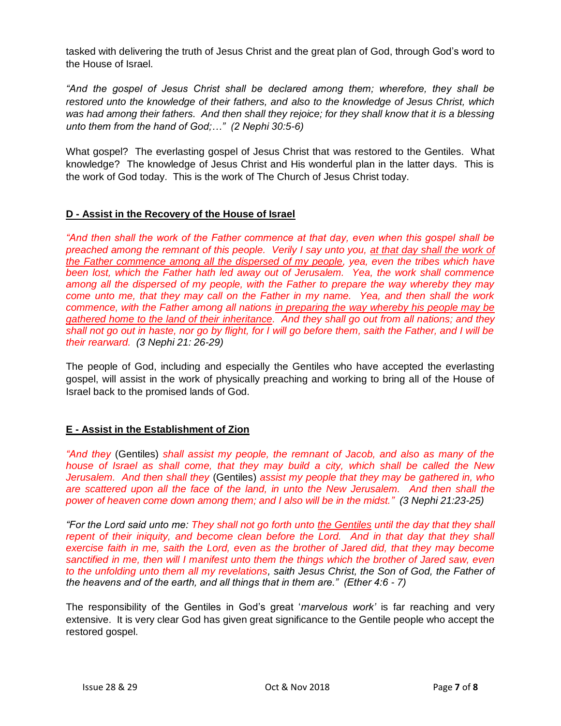tasked with delivering the truth of Jesus Christ and the great plan of God, through God's word to the House of Israel.

*"And the gospel of Jesus Christ shall be declared among them; wherefore, they shall be restored unto the knowledge of their fathers, and also to the knowledge of Jesus Christ, which was had among their fathers. And then shall they rejoice; for they shall know that it is a blessing unto them from the hand of God;…" (2 Nephi 30:5-6)*

What gospel? The everlasting gospel of Jesus Christ that was restored to the Gentiles. What knowledge? The knowledge of Jesus Christ and His wonderful plan in the latter days. This is the work of God today. This is the work of The Church of Jesus Christ today.

#### **D - Assist in the Recovery of the House of Israel**

*"And then shall the work of the Father commence at that day, even when this gospel shall be preached among the remnant of this people. Verily I say unto you, at that day shall the work of the Father commence among all the dispersed of my people, yea, even the tribes which have been lost, which the Father hath led away out of Jerusalem. Yea, the work shall commence among all the dispersed of my people, with the Father to prepare the way whereby they may come unto me, that they may call on the Father in my name. Yea, and then shall the work commence, with the Father among all nations in preparing the way whereby his people may be gathered home to the land of their inheritance. And they shall go out from all nations; and they shall not go out in haste, nor go by flight, for I will go before them, saith the Father, and I will be their rearward. (3 Nephi 21: 26-29)*

The people of God, including and especially the Gentiles who have accepted the everlasting gospel, will assist in the work of physically preaching and working to bring all of the House of Israel back to the promised lands of God.

#### **E - Assist in the Establishment of Zion**

*"And they* (Gentiles) *shall assist my people, the remnant of Jacob, and also as many of the house of Israel as shall come, that they may build a city, which shall be called the New Jerusalem. And then shall they* (Gentiles) *assist my people that they may be gathered in, who are scattered upon all the face of the land, in unto the New Jerusalem. And then shall the power of heaven come down among them; and I also will be in the midst." (3 Nephi 21:23-25)*

*"For the Lord said unto me: They shall not go forth unto the Gentiles until the day that they shall repent of their iniquity, and become clean before the Lord. And in that day that they shall exercise faith in me, saith the Lord, even as the brother of Jared did, that they may become sanctified in me, then will I manifest unto them the things which the brother of Jared saw, even to the unfolding unto them all my revelations, saith Jesus Christ, the Son of God, the Father of the heavens and of the earth, and all things that in them are." (Ether 4:6 - 7)*

The responsibility of the Gentiles in God's great '*marvelous work'* is far reaching and very extensive. It is very clear God has given great significance to the Gentile people who accept the restored gospel.